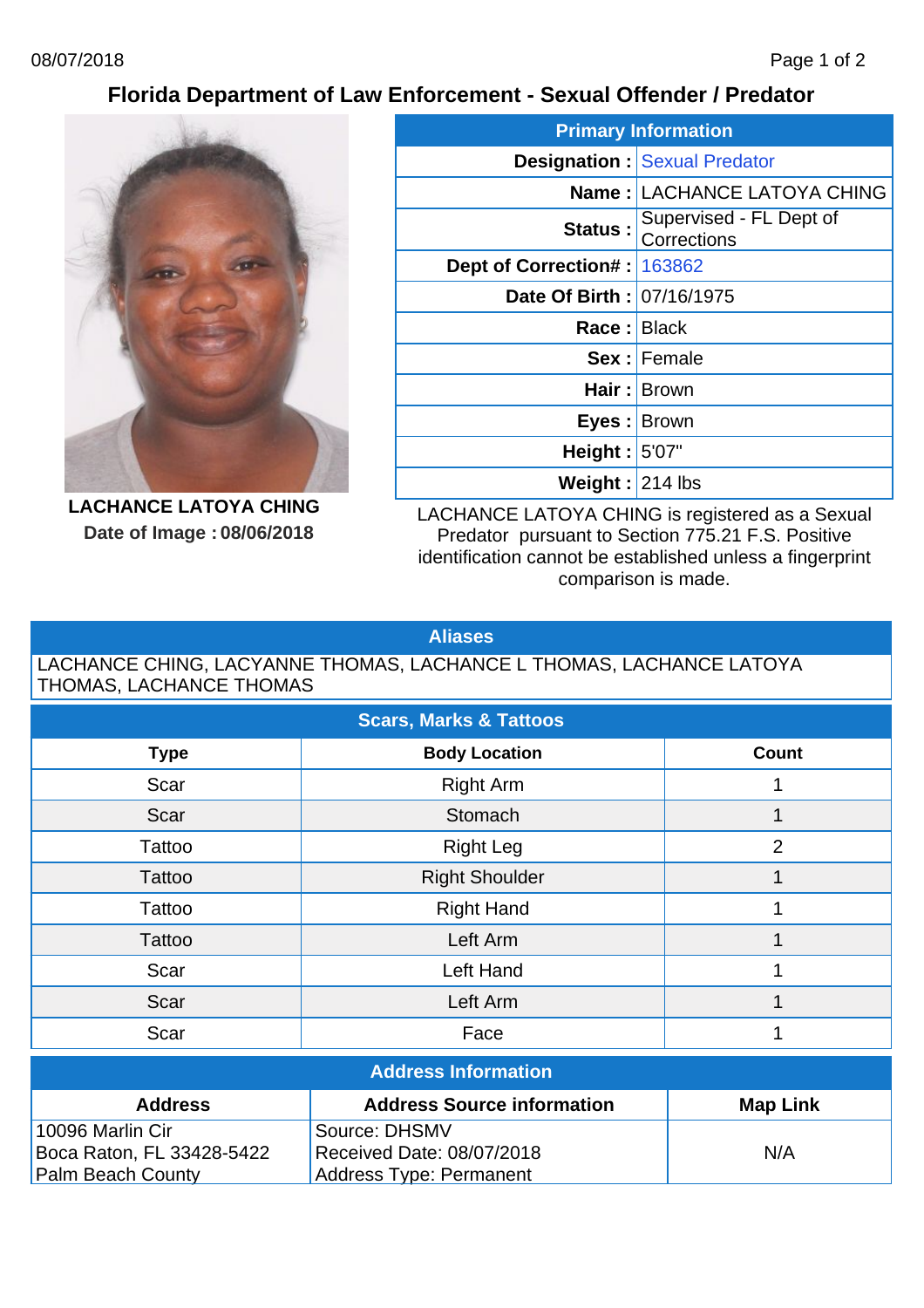## **Florida Department of Law Enforcement - Sexual Offender / Predator**



**LACHANCE LATOYA CHING Date of Image : 08/06/2018**

| <b>Primary Information</b>    |                                        |  |  |  |
|-------------------------------|----------------------------------------|--|--|--|
|                               | <b>Designation: Sexual Predator</b>    |  |  |  |
|                               | <b>Name: LACHANCE LATOYA CHING</b>     |  |  |  |
| Status:                       | Supervised - FL Dept of<br>Corrections |  |  |  |
| Dept of Correction#:   163862 |                                        |  |  |  |
| Date Of Birth: 07/16/1975     |                                        |  |  |  |
| Race: Black                   |                                        |  |  |  |
|                               | <b>Sex: Female</b>                     |  |  |  |
|                               | Hair: Brown                            |  |  |  |
| Eyes : Brown                  |                                        |  |  |  |
| Height: $5'07''$              |                                        |  |  |  |
| Weight: 214 lbs               |                                        |  |  |  |

LACHANCE LATOYA CHING is registered as a Sexual Predator pursuant to Section 775.21 F.S. Positive identification cannot be established unless a fingerprint comparison is made.

## **Aliases**

## LACHANCE CHING, LACYANNE THOMAS, LACHANCE L THOMAS, LACHANCE LATOYA THOMAS, LACHANCE THOMAS

| <b>Scars, Marks &amp; Tattoos</b> |                       |                |  |  |
|-----------------------------------|-----------------------|----------------|--|--|
| <b>Type</b>                       | <b>Body Location</b>  | <b>Count</b>   |  |  |
| Scar                              | <b>Right Arm</b>      |                |  |  |
| Scar                              | Stomach               |                |  |  |
| Tattoo                            | <b>Right Leg</b>      | $\overline{2}$ |  |  |
| Tattoo                            | <b>Right Shoulder</b> |                |  |  |
| Tattoo                            | <b>Right Hand</b>     |                |  |  |
| Tattoo                            | Left Arm              |                |  |  |
| Scar                              | Left Hand             |                |  |  |
| Scar                              | Left Arm              |                |  |  |
| Scar                              | Face                  |                |  |  |

| <b>Address Information</b>                                             |                                |     |  |  |
|------------------------------------------------------------------------|--------------------------------|-----|--|--|
| <b>Address Source information</b><br><b>Map Link</b><br><b>Address</b> |                                |     |  |  |
| 10096 Marlin Cir                                                       | Source: DHSMV                  |     |  |  |
| Boca Raton, FL 33428-5422                                              | Received Date: 08/07/2018      | N/A |  |  |
| <b>Palm Beach County</b>                                               | <b>Address Type: Permanent</b> |     |  |  |